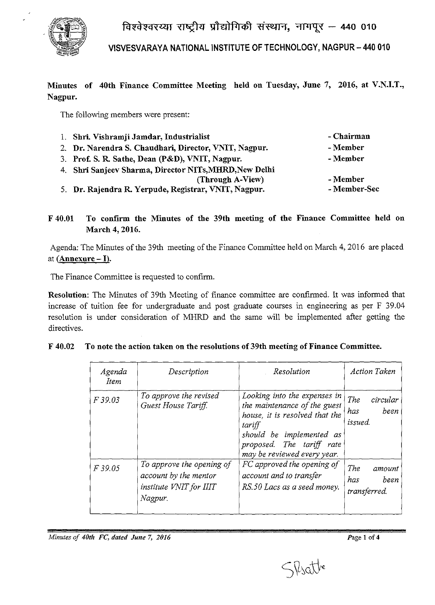

**VISVESVARA YA NATIONAL INSTITUTE OF TECHNOLOGY, NAGPUR - 440 010** 

# **Minutes of 40th Finance Committee Meeting held on Tuesday, June 7, 2016, at V.N.I.T., Nagpur.**

The following members were present:

| 1. Shri. Vishramji Jamdar, Industrialist               | - Chairman   |
|--------------------------------------------------------|--------------|
| 2. Dr. Narendra S. Chaudhari, Director, VNIT, Nagpur.  | - Member     |
| 3. Prof. S. R. Sathe, Dean (P&D), VNIT, Nagpur.        | - Member     |
| 4. Shri Sanjeev Sharma, Director NITs, MHRD, New Delhi |              |
| (Through A-View)                                       | - Member     |
| 5. Dr. Rajendra R. Yerpude, Registrar, VNIT, Nagpur.   | - Member-Sec |

**F 40.01 To confirm the Minutes of the 39th meeting of the Finance Committee held on March 4, 2016.** 

Agenda: The Minutes of the 39th meeting of the Finance Committee held on March 4, 2016 are placed at **(Annexure -I).** 

The Finance Committee is requested to confirm.

**Resolution:** The Minutes of 39th Meeting of finance committee are confirmed. It was informed that increase of tuition fee for undergraduate and post graduate courses in engineering as per F 39.04 resolution is under consideration of MHRD and the same will be implemented after getting the directives.

| Agenda<br><i>Item</i> | Description                                                                              | Resolution                                                                                                                                                                                       | <b>Action Taken</b>                              |
|-----------------------|------------------------------------------------------------------------------------------|--------------------------------------------------------------------------------------------------------------------------------------------------------------------------------------------------|--------------------------------------------------|
| F39.03                | To approve the revised<br>Guest House Tariff.                                            | Looking into the expenses in<br>the maintenance of the guest<br>house, it is resolved that the<br>tariff<br>should be implemented as<br>proposed. The tariff rate<br>may be reviewed every year. | <b>The</b><br>circular<br>been<br>has<br>issued. |
| F 39.05               | To approve the opening of<br>account by the mentor<br>institute VNIT for IIIT<br>Nagpur. | FC approved the opening of<br>account and to transfer<br>RS.50 Lacs as a seed money.                                                                                                             | The<br>amount<br>has<br>been<br>transferred.     |

|  | F 40.02 To note the action taken on the resolutions of 39th meeting of Finance Committee. |
|--|-------------------------------------------------------------------------------------------|
|  |                                                                                           |

*Minutes of 40th FC, dated June 7, 2016* **Page 1 of 4 Page 1 of 4** 

SVsatte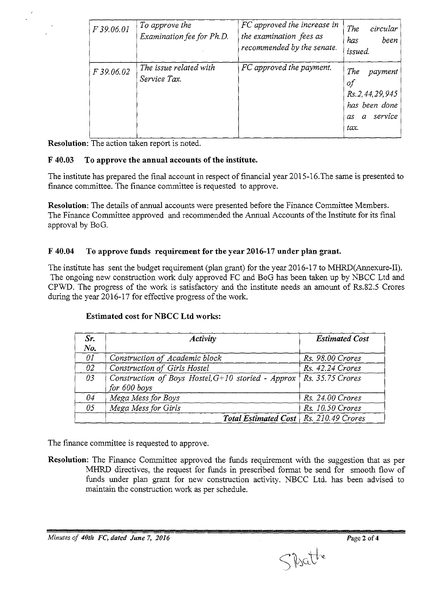| F 39.06.01 | To approve the<br>Examination fee for Ph.D. | FC approved the increase in<br>the examination fees as<br>recommended by the senate. | The<br>circular<br>been<br>has<br>issued.                                                 |
|------------|---------------------------------------------|--------------------------------------------------------------------------------------|-------------------------------------------------------------------------------------------|
| F 39.06.02 | The issue related with<br>Service Tax.      | FC approved the payment.                                                             | The<br>payment<br>оf<br>Rs. 2, 44, 29, 945<br>has been done<br>service<br>as<br>α<br>tax. |

Resolution: The action taken report is noted.

### F 40.03 To approve the annual accounts of the institute.

The institute has prepared the final account in respect of financial year 2015-16. The same is presented to finance committee. The finance committee is requested to approve.

Resolution: The details of annual accounts were presented before the Finance Committee Members. The Finance Committee approved and recommended the Annual Accounts of the Institute for its final approval by BoG.

### F 40.04 To approve funds requirement for the year 2016-17 under plan grant.

The institute has sent the budget requirement (plan grant) for the year 2016-17 to MHRD(Annexure-II). The ongoing new construction work duly approved FC and BoG has been taken up by NBCC Ltd and CPWD. The progress of the work is satisfactory and the institute needs an amount of Rs.82.5 Crores during the year 2016-17 for effective progress of the work.

| Sr.<br>No. | <b>Activity</b>                                                        | <b>Estimated Cost</b> |
|------------|------------------------------------------------------------------------|-----------------------|
| 01         | Construction of Academic block                                         | Rs. 98.00 Crores      |
| 02         | Construction of Girls Hostel                                           | Rs. 42.24 Crores      |
| 03         | Construction of Boys Hostel, $G+10$ storied - Approx  <br>for 600 boys | $Rs. 35.75$ Crores    |
| 04         | Mega Mess for Boys                                                     | Rs. 24.00 Crores      |
| 05         | Mega Mess for Girls                                                    | Rs. 10.50 Crores      |
|            | Total Estimated Cost   Rs. 210.49 Crores                               |                       |

### Estimated cost for NBCC Ltd works:

The fmance committee is requested to approve.

Resolution: The Finance Committee approved the funds requirement with the suggestion that as per MHRD directives, the request for funds in prescribed format be send for smooth flow of funds under plan grant for new construction activity. NBCC Ltd. has been advised to maintain the construction work as per schedule.

*Minutes of 40th FC, dated June 7, 2016* Page 2 of 4

Specthe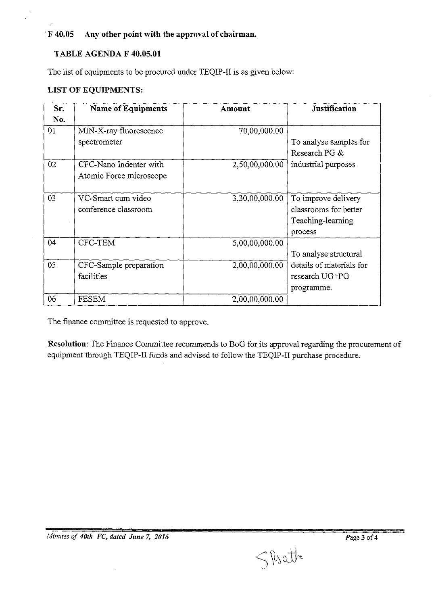**'F 40.05 Any other point with the approval of chairman.** 

#### **TABLE AGENDA F 40.05.01**

The list of equipments to be procured under TEQIP-II is as given below:

# **LIST OF EQUIPMENTS:**

| Sr. | <b>Name of Equipments</b> | Amount         | <b>Justification</b>     |
|-----|---------------------------|----------------|--------------------------|
| No. |                           |                |                          |
| 01  | MIN-X-ray fluorescence    | 70,00,000.00   |                          |
|     | spectrometer              |                | To analyse samples for   |
|     |                           |                | Research PG &            |
| 02  | CFC-Nano Indenter with    | 2,50,00,000.00 | industrial purposes      |
|     | Atomic Force microscope   |                |                          |
|     |                           |                |                          |
| 03  | VC-Smart cum video        | 3,30,00,000.00 | To improve delivery      |
|     | conference classroom      |                | classrooms for better    |
|     |                           |                | Teaching-learning        |
|     |                           |                | process                  |
| 04  | CFC-TEM                   | 5,00,00,000.00 |                          |
|     |                           |                | To analyse structural    |
| 05  | CFC-Sample preparation    | 2,00,00,000.00 | details of materials for |
|     | facilities                |                | research UG+PG           |
|     |                           |                | programme.               |
| 06  | <b>FESEM</b>              | 2,00,00,000.00 |                          |

The finance committee is requested to approve.

**Resolution:** The Finance Committee recommends to BoG for its approval regarding the procurement of equipment through TEQIP-II funds and advised to follow the TEQIP-ll purchase procedure.